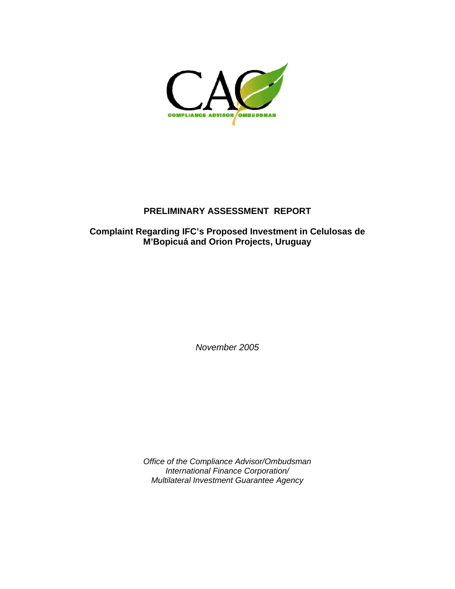

# **PRELIMINARY ASSESSMENT REPORT**

## **Complaint Regarding IFC's Proposed Investment in Celulosas de M'Bopicuá and Orion Projects, Uruguay**

*November 2005* 

*Office of the Compliance Advisor/Ombudsman International Finance Corporation/ Multilateral Investment Guarantee Agency*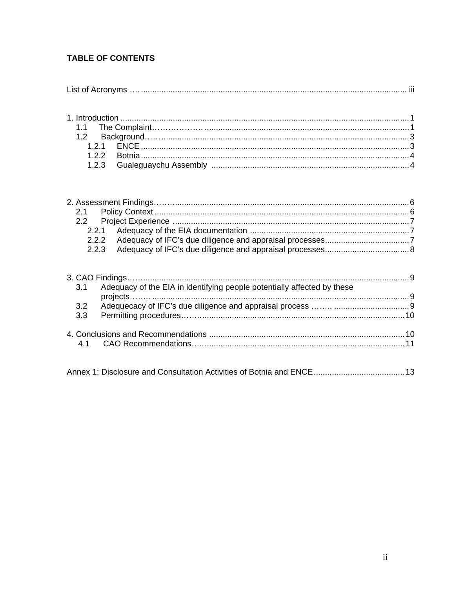# **TABLE OF CONTENTS**

|     | 3.1 Adequacy of the EIA in identifying people potentially affected by these |  |
|-----|-----------------------------------------------------------------------------|--|
|     |                                                                             |  |
| 3.3 |                                                                             |  |
|     |                                                                             |  |
|     |                                                                             |  |
|     |                                                                             |  |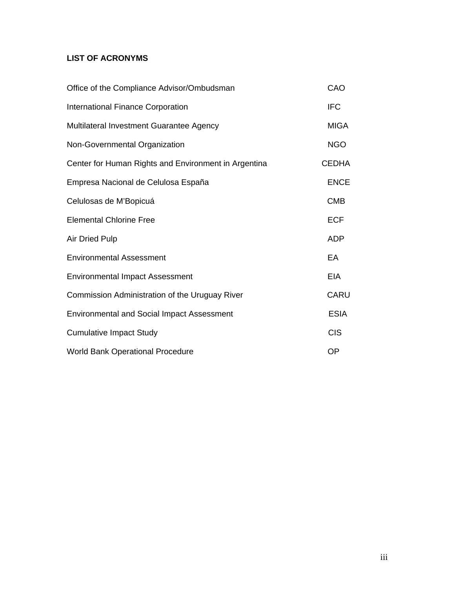# **LIST OF ACRONYMS**

| Office of the Compliance Advisor/Ombudsman           | CAO          |
|------------------------------------------------------|--------------|
| <b>International Finance Corporation</b>             | <b>IFC</b>   |
| Multilateral Investment Guarantee Agency             | <b>MIGA</b>  |
| Non-Governmental Organization                        | <b>NGO</b>   |
| Center for Human Rights and Environment in Argentina | <b>CEDHA</b> |
| Empresa Nacional de Celulosa España                  | <b>ENCE</b>  |
| Celulosas de M'Bopicuá                               | <b>CMB</b>   |
| <b>Elemental Chlorine Free</b>                       | <b>ECF</b>   |
| <b>Air Dried Pulp</b>                                | <b>ADP</b>   |
| <b>Environmental Assessment</b>                      | EA           |
| <b>Environmental Impact Assessment</b>               | EIA          |
| Commission Administration of the Uruguay River       | CARU         |
| <b>Environmental and Social Impact Assessment</b>    | <b>ESIA</b>  |
| <b>Cumulative Impact Study</b>                       | <b>CIS</b>   |
| <b>World Bank Operational Procedure</b>              | <b>OP</b>    |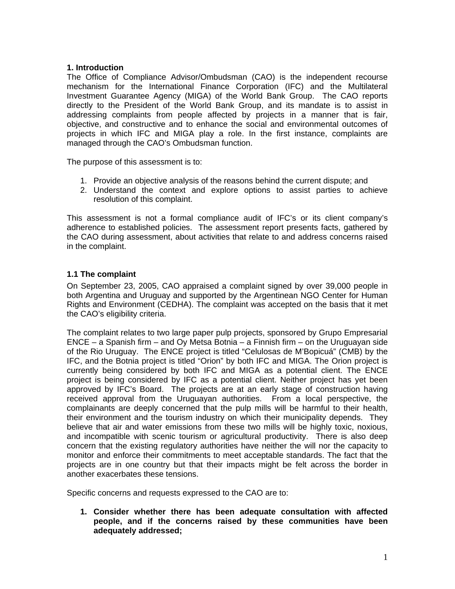#### **1. Introduction**

The Office of Compliance Advisor/Ombudsman (CAO) is the independent recourse mechanism for the International Finance Corporation (IFC) and the Multilateral Investment Guarantee Agency (MIGA) of the World Bank Group. The CAO reports directly to the President of the World Bank Group, and its mandate is to assist in addressing complaints from people affected by projects in a manner that is fair, objective, and constructive and to enhance the social and environmental outcomes of projects in which IFC and MIGA play a role. In the first instance, complaints are managed through the CAO's Ombudsman function.

The purpose of this assessment is to:

- 1. Provide an objective analysis of the reasons behind the current dispute; and
- 2. Understand the context and explore options to assist parties to achieve resolution of this complaint.

This assessment is not a formal compliance audit of IFC's or its client company's adherence to established policies. The assessment report presents facts, gathered by the CAO during assessment, about activities that relate to and address concerns raised in the complaint.

#### **1.1 The complaint**

On September 23, 2005, CAO appraised a complaint signed by over 39,000 people in both Argentina and Uruguay and supported by the Argentinean NGO Center for Human Rights and Environment (CEDHA). The complaint was accepted on the basis that it met the CAO's eligibility criteria.

The complaint relates to two large paper pulp projects, sponsored by Grupo Empresarial ENCE – a Spanish firm – and Oy Metsa Botnia – a Finnish firm – on the Uruguayan side of the Rio Uruguay. The ENCE project is titled "Celulosas de M'Bopicuá" (CMB) by the IFC, and the Botnia project is titled "Orion" by both IFC and MIGA. The Orion project is currently being considered by both IFC and MIGA as a potential client. The ENCE project is being considered by IFC as a potential client. Neither project has yet been approved by IFC's Board. The projects are at an early stage of construction having received approval from the Uruguayan authorities. From a local perspective, the complainants are deeply concerned that the pulp mills will be harmful to their health, their environment and the tourism industry on which their municipality depends. They believe that air and water emissions from these two mills will be highly toxic, noxious, and incompatible with scenic tourism or agricultural productivity. There is also deep concern that the existing regulatory authorities have neither the will nor the capacity to monitor and enforce their commitments to meet acceptable standards. The fact that the projects are in one country but that their impacts might be felt across the border in another exacerbates these tensions.

Specific concerns and requests expressed to the CAO are to:

**1. Consider whether there has been adequate consultation with affected people, and if the concerns raised by these communities have been adequately addressed;**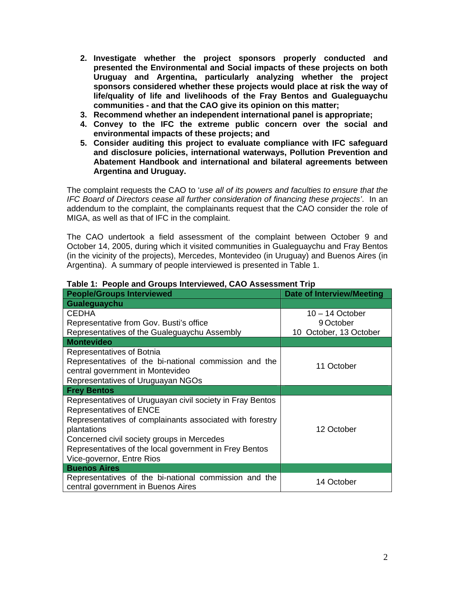- **2. Investigate whether the project sponsors properly conducted and presented the Environmental and Social impacts of these projects on both Uruguay and Argentina, particularly analyzing whether the project sponsors considered whether these projects would place at risk the way of life/quality of life and livelihoods of the Fray Bentos and Gualeguaychu communities - and that the CAO give its opinion on this matter;**
- **3. Recommend whether an independent international panel is appropriate;**
- **4. Convey to the IFC the extreme public concern over the social and environmental impacts of these projects; and**
- **5. Consider auditing this project to evaluate compliance with IFC safeguard and disclosure policies, international waterways, Pollution Prevention and Abatement Handbook and international and bilateral agreements between Argentina and Uruguay.**

The complaint requests the CAO to '*use all of its powers and faculties to ensure that the IFC Board of Directors cease all further consideration of financing these projects'*. In an addendum to the complaint, the complainants request that the CAO consider the role of MIGA, as well as that of IFC in the complaint.

The CAO undertook a field assessment of the complaint between October 9 and October 14, 2005, during which it visited communities in Gualeguaychu and Fray Bentos (in the vicinity of the projects), Mercedes, Montevideo (in Uruguay) and Buenos Aires (in Argentina). A summary of people interviewed is presented in Table 1.

| <b>People/Groups Interviewed</b>                          | <b>Date of Interview/Meeting</b> |
|-----------------------------------------------------------|----------------------------------|
| Gualeguaychu                                              |                                  |
| <b>CEDHA</b>                                              | $10 - 14$ October                |
| Representative from Gov. Busti's office                   | 9 October                        |
| Representatives of the Gualeguaychu Assembly              | 10 October, 13 October           |
| <b>Montevideo</b>                                         |                                  |
| Representatives of Botnia                                 |                                  |
| Representatives of the bi-national commission and the     | 11 October                       |
| central government in Montevideo                          |                                  |
| Representatives of Uruguayan NGOs                         |                                  |
| <b>Frey Bentos</b>                                        |                                  |
| Representatives of Uruguayan civil society in Fray Bentos |                                  |
| <b>Representatives of ENCE</b>                            |                                  |
| Representatives of complainants associated with forestry  |                                  |
| plantations                                               | 12 October                       |
| Concerned civil society groups in Mercedes                |                                  |
| Representatives of the local government in Frey Bentos    |                                  |
| Vice-governor, Entre Rios                                 |                                  |
| <b>Buenos Aires</b>                                       |                                  |
| Representatives of the bi-national commission and the     | 14 October                       |
| central government in Buenos Aires                        |                                  |

**Table 1: People and Groups Interviewed, CAO Assessment Trip**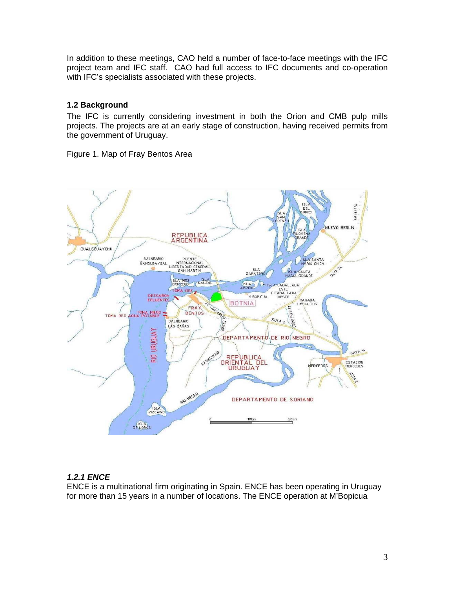In addition to these meetings, CAO held a number of face-to-face meetings with the IFC project team and IFC staff. CAO had full access to IFC documents and co-operation with IFC's specialists associated with these projects.

### **1.2 Background**

The IFC is currently considering investment in both the Orion and CMB pulp mills projects. The projects are at an early stage of construction, having received permits from the government of Uruguay.

Figure 1. Map of Fray Bentos Area



## *1.2.1 ENCE*

ENCE is a multinational firm originating in Spain. ENCE has been operating in Uruguay for more than 15 years in a number of locations. The ENCE operation at M'Bopicua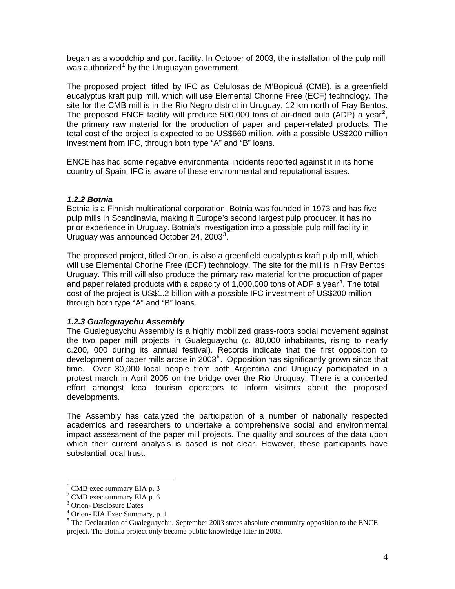began as a woodchip and port facility. In October of 2003, the installation of the pulp mill was authorized<sup>[1](#page-6-0)</sup> by the Uruguayan government.

The proposed project, titled by IFC as Celulosas de M'Bopicuá (CMB), is a greenfield eucalyptus kraft pulp mill, which will use Elemental Chorine Free (ECF) technology. The site for the CMB mill is in the Rio Negro district in Uruguay, 12 km north of Fray Bentos. The proposed ENCE facility will produce 500,000 tons of air-dried pulp (ADP) a year<sup>[2](#page-6-1)</sup>, the primary raw material for the production of paper and paper-related products. The total cost of the project is expected to be US\$660 million, with a possible US\$200 million investment from IFC, through both type "A" and "B" loans.

ENCE has had some negative environmental incidents reported against it in its home country of Spain. IFC is aware of these environmental and reputational issues.

#### *1.2.2 Botnia*

Botnia is a Finnish multinational corporation. Botnia was founded in 1973 and has five pulp mills in Scandinavia, making it Europe's second largest pulp producer. It has no prior experience in Uruguay. Botnia's investigation into a possible pulp mill facility in Uruguay was announced October 24, 200[3](#page-6-2) $^3$ .

The proposed project, titled Orion, is also a greenfield eucalyptus kraft pulp mill, which will use Elemental Chorine Free (ECF) technology. The site for the mill is in Fray Bentos, Uruguay. This mill will also produce the primary raw material for the production of paper and paper related products with a capacity of 1,000,000 tons of ADP a year<sup>[4](#page-6-3)</sup>. The total cost of the project is US\$1.2 billion with a possible IFC investment of US\$200 million through both type "A" and "B" loans.

#### *1.2.3 Gualeguaychu Assembly*

The Gualeguaychu Assembly is a highly mobilized grass-roots social movement against the two paper mill projects in Gualeguaychu (c. 80,000 inhabitants, rising to nearly c.200, 000 during its annual festival). Records indicate that the first opposition to development of paper mills arose in 2003<sup>[5](#page-6-4)</sup>. Opposition has significantly grown since that time. Over 30,000 local people from both Argentina and Uruguay participated in a protest march in April 2005 on the bridge over the Rio Uruguay. There is a concerted effort amongst local tourism operators to inform visitors about the proposed developments.

The Assembly has catalyzed the participation of a number of nationally respected academics and researchers to undertake a comprehensive social and environmental impact assessment of the paper mill projects. The quality and sources of the data upon which their current analysis is based is not clear. However, these participants have substantial local trust.

 $\overline{a}$ 

<span id="page-6-0"></span><sup>&</sup>lt;sup>1</sup> CMB exec summary EIA p. 3

<span id="page-6-1"></span><sup>&</sup>lt;sup>2</sup> CMB exec summary EIA p. 6

<span id="page-6-2"></span><sup>3</sup> Orion- Disclosure Dates

<sup>4</sup> Orion- EIA Exec Summary, p. 1

<span id="page-6-4"></span><span id="page-6-3"></span> $<sup>5</sup>$  The Declaration of Gualeguaychu, September 2003 states absolute community opposition to the ENCE</sup> project. The Botnia project only became public knowledge later in 2003.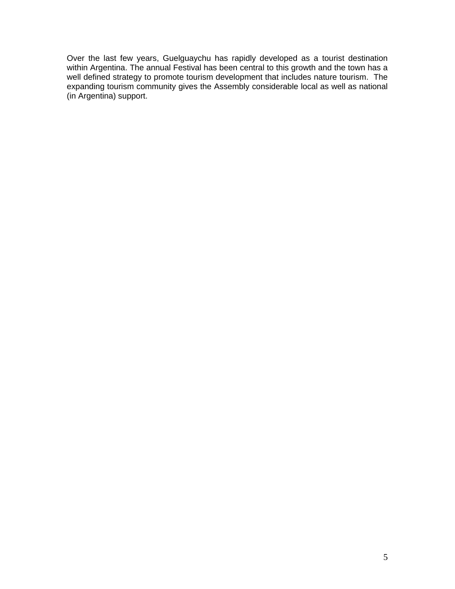Over the last few years, Guelguaychu has rapidly developed as a tourist destination within Argentina. The annual Festival has been central to this growth and the town has a well defined strategy to promote tourism development that includes nature tourism. The expanding tourism community gives the Assembly considerable local as well as national (in Argentina) support.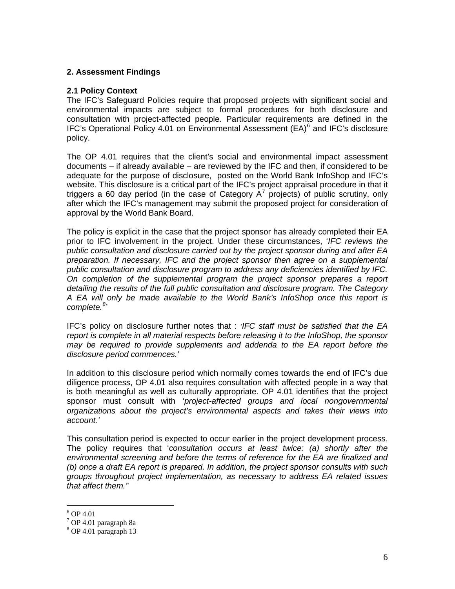#### **2. Assessment Findings**

#### **2.1 Policy Context**

The IFC's Safeguard Policies require that proposed projects with significant social and environmental impacts are subject to formal procedures for both disclosure and consultation with project-affected people. Particular requirements are defined in the IFC's Operational Policy 4.01 on Environmental Assessment  $(EA)^6$  $(EA)^6$  and IFC's disclosure policy.

The OP 4.01 requires that the client's social and environmental impact assessment documents – if already available – are reviewed by the IFC and then, if considered to be adequate for the purpose of disclosure, posted on the World Bank InfoShop and IFC's website. This disclosure is a critical part of the IFC's project appraisal procedure in that it triggers a 60 day period (in the case of Category  $A^7$  $A^7$  projects) of public scrutiny, only after which the IFC's management may submit the proposed project for consideration of approval by the World Bank Board.

The policy is explicit in the case that the project sponsor has already completed their EA prior to IFC involvement in the project. Under these circumstances, '*IFC reviews the public consultation and disclosure carried out by the project sponsor during and after EA preparation. If necessary, IFC and the project sponsor then agree on a supplemental public consultation and disclosure program to address any deficiencies identified by IFC. On completion of the supplemental program the project sponsor prepares a report detailing the results of the full public consultation and disclosure program. The Category A EA will only be made available to the World Bank's InfoShop once this report is complete.[8](#page-8-2)* '

IFC's policy on disclosure further notes that : '*IFC staff must be satisfied that the EA report is complete in all material respects before releasing it to the InfoShop, the sponsor may be required to provide supplements and addenda to the EA report before the disclosure period commences.'* 

In addition to this disclosure period which normally comes towards the end of IFC's due diligence process, OP 4.01 also requires consultation with affected people in a way that is both meaningful as well as culturally appropriate. OP 4.01 identifies that the project sponsor must consult with '*project-affected groups and local nongovernmental organizations about the project's environmental aspects and takes their views into account.'*

This consultation period is expected to occur earlier in the project development process. The policy requires that '*consultation occurs at least twice: (a) shortly after the environmental screening and before the terms of reference for the EA are finalized and (b) once a draft EA report is prepared. In addition, the project sponsor consults with such groups throughout project implementation, as necessary to address EA related issues that affect them.'*'

 $\overline{a}$ 

<span id="page-8-0"></span> $6$  OP 4.01

<span id="page-8-1"></span><sup>7</sup> OP 4.01 paragraph 8a

<span id="page-8-2"></span><sup>8</sup> OP 4.01 paragraph 13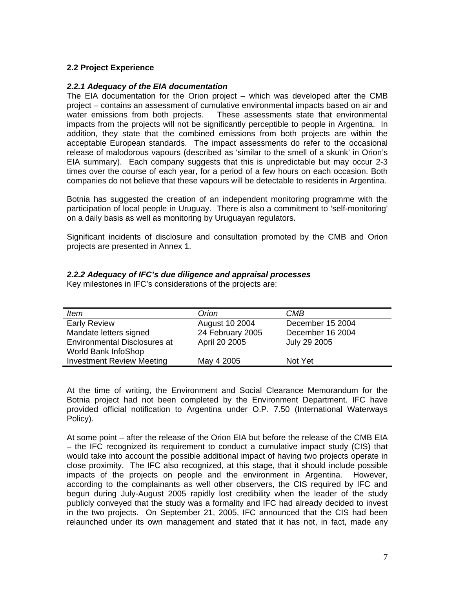#### **2.2 Project Experience**

#### *2.2.1 Adequacy of the EIA documentation*

The EIA documentation for the Orion project – which was developed after the CMB project – contains an assessment of cumulative environmental impacts based on air and water emissions from both projects. These assessments state that environmental impacts from the projects will not be significantly perceptible to people in Argentina. In addition, they state that the combined emissions from both projects are within the acceptable European standards. The impact assessments do refer to the occasional release of malodorous vapours (described as 'similar to the smell of a skunk' in Orion's EIA summary). Each company suggests that this is unpredictable but may occur 2-3 times over the course of each year, for a period of a few hours on each occasion. Both companies do not believe that these vapours will be detectable to residents in Argentina.

Botnia has suggested the creation of an independent monitoring programme with the participation of local people in Uruguay. There is also a commitment to 'self-monitoring' on a daily basis as well as monitoring by Uruguayan regulators.

Significant incidents of disclosure and consultation promoted by the CMB and Orion projects are presented in Annex 1.

|  |  | 2.2.2 Adequacy of IFC's due diligence and appraisal processes |  |
|--|--|---------------------------------------------------------------|--|
|--|--|---------------------------------------------------------------|--|

Key milestones in IFC's considerations of the projects are:

| <b>Item</b>                         | Orion            | CMB              |
|-------------------------------------|------------------|------------------|
| <b>Early Review</b>                 | August 10 2004   | December 15 2004 |
| Mandate letters signed              | 24 February 2005 | December 16 2004 |
| <b>Environmental Disclosures at</b> | April 20 2005    | July 29 2005     |
| World Bank InfoShop                 |                  |                  |
| <b>Investment Review Meeting</b>    | May 4 2005       | Not Yet          |

At the time of writing, the Environment and Social Clearance Memorandum for the Botnia project had not been completed by the Environment Department. IFC have provided official notification to Argentina under O.P. 7.50 (International Waterways Policy).

At some point – after the release of the Orion EIA but before the release of the CMB EIA – the IFC recognized its requirement to conduct a cumulative impact study (CIS) that would take into account the possible additional impact of having two projects operate in close proximity. The IFC also recognized, at this stage, that it should include possible impacts of the projects on people and the environment in Argentina. However, according to the complainants as well other observers, the CIS required by IFC and begun during July-August 2005 rapidly lost credibility when the leader of the study publicly conveyed that the study was a formality and IFC had already decided to invest in the two projects. On September 21, 2005, IFC announced that the CIS had been relaunched under its own management and stated that it has not, in fact, made any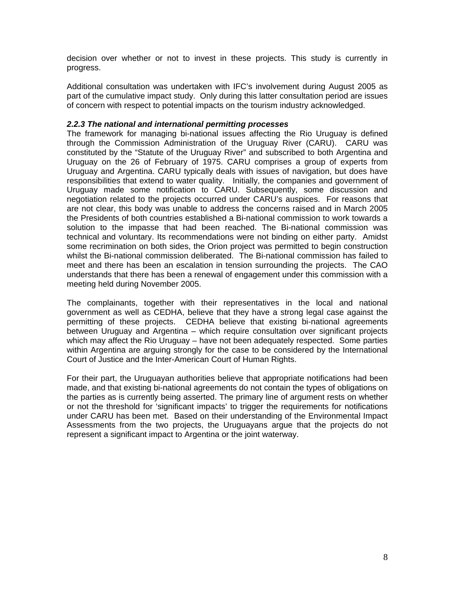decision over whether or not to invest in these projects. This study is currently in progress.

Additional consultation was undertaken with IFC's involvement during August 2005 as part of the cumulative impact study. Only during this latter consultation period are issues of concern with respect to potential impacts on the tourism industry acknowledged.

#### *2.2.3 The national and international permitting processes*

The framework for managing bi-national issues affecting the Rio Uruguay is defined through the Commission Administration of the Uruguay River (CARU). CARU was constituted by the "Statute of the Uruguay River" and subscribed to both Argentina and Uruguay on the 26 of February of 1975. CARU comprises a group of experts from Uruguay and Argentina. CARU typically deals with issues of navigation, but does have responsibilities that extend to water quality. Initially, the companies and government of Uruguay made some notification to CARU. Subsequently, some discussion and negotiation related to the projects occurred under CARU's auspices. For reasons that are not clear, this body was unable to address the concerns raised and in March 2005 the Presidents of both countries established a Bi-national commission to work towards a solution to the impasse that had been reached. The Bi-national commission was technical and voluntary. Its recommendations were not binding on either party. Amidst some recrimination on both sides, the Orion project was permitted to begin construction whilst the Bi-national commission deliberated. The Bi-national commission has failed to meet and there has been an escalation in tension surrounding the projects. The CAO understands that there has been a renewal of engagement under this commission with a meeting held during November 2005.

The complainants, together with their representatives in the local and national government as well as CEDHA, believe that they have a strong legal case against the permitting of these projects. CEDHA believe that existing bi-national agreements between Uruguay and Argentina – which require consultation over significant projects which may affect the Rio Uruguay – have not been adequately respected. Some parties within Argentina are arguing strongly for the case to be considered by the International Court of Justice and the Inter-American Court of Human Rights.

For their part, the Uruguayan authorities believe that appropriate notifications had been made, and that existing bi-national agreements do not contain the types of obligations on the parties as is currently being asserted. The primary line of argument rests on whether or not the threshold for 'significant impacts' to trigger the requirements for notifications under CARU has been met. Based on their understanding of the Environmental Impact Assessments from the two projects, the Uruguayans argue that the projects do not represent a significant impact to Argentina or the joint waterway.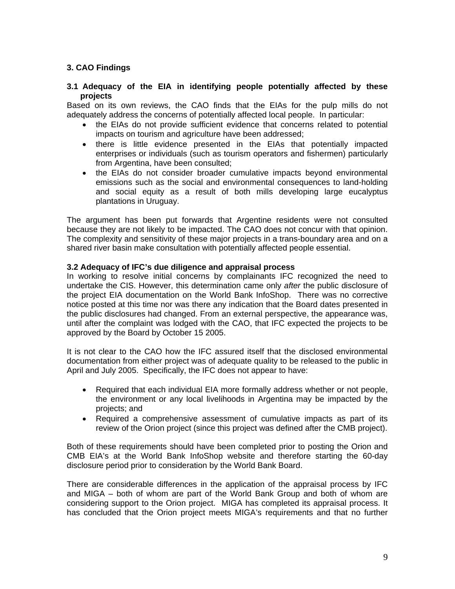## **3. CAO Findings**

#### **3.1 Adequacy of the EIA in identifying people potentially affected by these projects**

Based on its own reviews, the CAO finds that the EIAs for the pulp mills do not adequately address the concerns of potentially affected local people. In particular:

- the EIAs do not provide sufficient evidence that concerns related to potential impacts on tourism and agriculture have been addressed;
- there is little evidence presented in the EIAs that potentially impacted enterprises or individuals (such as tourism operators and fishermen) particularly from Argentina, have been consulted;
- the EIAs do not consider broader cumulative impacts beyond environmental emissions such as the social and environmental consequences to land-holding and social equity as a result of both mills developing large eucalyptus plantations in Uruguay.

The argument has been put forwards that Argentine residents were not consulted because they are not likely to be impacted. The CAO does not concur with that opinion. The complexity and sensitivity of these major projects in a trans-boundary area and on a shared river basin make consultation with potentially affected people essential.

#### **3.2 Adequacy of IFC's due diligence and appraisal process**

In working to resolve initial concerns by complainants IFC recognized the need to undertake the CIS. However, this determination came only *after* the public disclosure of the project EIA documentation on the World Bank InfoShop. There was no corrective notice posted at this time nor was there any indication that the Board dates presented in the public disclosures had changed. From an external perspective, the appearance was, until after the complaint was lodged with the CAO, that IFC expected the projects to be approved by the Board by October 15 2005.

It is not clear to the CAO how the IFC assured itself that the disclosed environmental documentation from either project was of adequate quality to be released to the public in April and July 2005. Specifically, the IFC does not appear to have:

- Required that each individual EIA more formally address whether or not people, the environment or any local livelihoods in Argentina may be impacted by the projects; and
- Required a comprehensive assessment of cumulative impacts as part of its review of the Orion project (since this project was defined after the CMB project).

Both of these requirements should have been completed prior to posting the Orion and CMB EIA's at the World Bank InfoShop website and therefore starting the 60-day disclosure period prior to consideration by the World Bank Board.

There are considerable differences in the application of the appraisal process by IFC and MIGA – both of whom are part of the World Bank Group and both of whom are considering support to the Orion project. MIGA has completed its appraisal process. It has concluded that the Orion project meets MIGA's requirements and that no further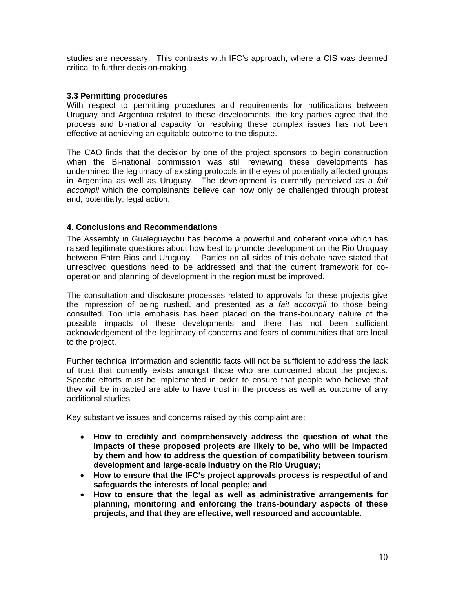studies are necessary. This contrasts with IFC's approach, where a CIS was deemed critical to further decision-making.

#### **3.3 Permitting procedures**

With respect to permitting procedures and requirements for notifications between Uruguay and Argentina related to these developments, the key parties agree that the process and bi-national capacity for resolving these complex issues has not been effective at achieving an equitable outcome to the dispute.

The CAO finds that the decision by one of the project sponsors to begin construction when the Bi-national commission was still reviewing these developments has undermined the legitimacy of existing protocols in the eyes of potentially affected groups in Argentina as well as Uruguay. The development is currently perceived as a *fait accompli* which the complainants believe can now only be challenged through protest and, potentially, legal action.

#### **4. Conclusions and Recommendations**

The Assembly in Gualeguaychu has become a powerful and coherent voice which has raised legitimate questions about how best to promote development on the Rio Uruguay between Entre Rios and Uruguay. Parties on all sides of this debate have stated that unresolved questions need to be addressed and that the current framework for cooperation and planning of development in the region must be improved.

The consultation and disclosure processes related to approvals for these projects give the impression of being rushed, and presented as a *fait accompli* to those being consulted. Too little emphasis has been placed on the trans-boundary nature of the possible impacts of these developments and there has not been sufficient acknowledgement of the legitimacy of concerns and fears of communities that are local to the project.

Further technical information and scientific facts will not be sufficient to address the lack of trust that currently exists amongst those who are concerned about the projects. Specific efforts must be implemented in order to ensure that people who believe that they will be impacted are able to have trust in the process as well as outcome of any additional studies.

Key substantive issues and concerns raised by this complaint are:

- **How to credibly and comprehensively address the question of what the impacts of these proposed projects are likely to be, who will be impacted by them and how to address the question of compatibility between tourism development and large-scale industry on the Rio Uruguay;**
- **How to ensure that the IFC's project approvals process is respectful of and safeguards the interests of local people; and**
- **How to ensure that the legal as well as administrative arrangements for planning, monitoring and enforcing the trans-boundary aspects of these projects, and that they are effective, well resourced and accountable.**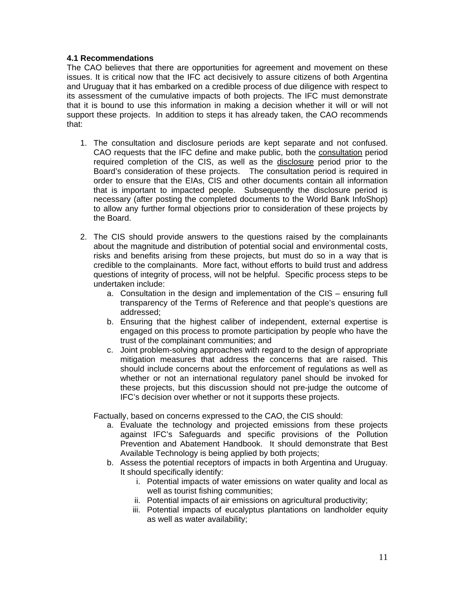#### **4.1 Recommendations**

The CAO believes that there are opportunities for agreement and movement on these issues. It is critical now that the IFC act decisively to assure citizens of both Argentina and Uruguay that it has embarked on a credible process of due diligence with respect to its assessment of the cumulative impacts of both projects. The IFC must demonstrate that it is bound to use this information in making a decision whether it will or will not support these projects. In addition to steps it has already taken, the CAO recommends that:

- 1. The consultation and disclosure periods are kept separate and not confused. CAO requests that the IFC define and make public, both the consultation period required completion of the CIS, as well as the disclosure period prior to the Board's consideration of these projects. The consultation period is required in order to ensure that the EIAs, CIS and other documents contain all information that is important to impacted people. Subsequently the disclosure period is necessary (after posting the completed documents to the World Bank InfoShop) to allow any further formal objections prior to consideration of these projects by the Board.
- 2. The CIS should provide answers to the questions raised by the complainants about the magnitude and distribution of potential social and environmental costs, risks and benefits arising from these projects, but must do so in a way that is credible to the complainants. More fact, without efforts to build trust and address questions of integrity of process, will not be helpful. Specific process steps to be undertaken include:
	- a. Consultation in the design and implementation of the CIS ensuring full transparency of the Terms of Reference and that people's questions are addressed;
	- b. Ensuring that the highest caliber of independent, external expertise is engaged on this process to promote participation by people who have the trust of the complainant communities; and
	- c. Joint problem-solving approaches with regard to the design of appropriate mitigation measures that address the concerns that are raised. This should include concerns about the enforcement of regulations as well as whether or not an international regulatory panel should be invoked for these projects, but this discussion should not pre-judge the outcome of IFC's decision over whether or not it supports these projects.

Factually, based on concerns expressed to the CAO, the CIS should:

- a. Evaluate the technology and projected emissions from these projects against IFC's Safeguards and specific provisions of the Pollution Prevention and Abatement Handbook. It should demonstrate that Best Available Technology is being applied by both projects;
- b. Assess the potential receptors of impacts in both Argentina and Uruguay. It should specifically identify:
	- i. Potential impacts of water emissions on water quality and local as well as tourist fishing communities;
	- ii. Potential impacts of air emissions on agricultural productivity;
	- iii. Potential impacts of eucalyptus plantations on landholder equity as well as water availability;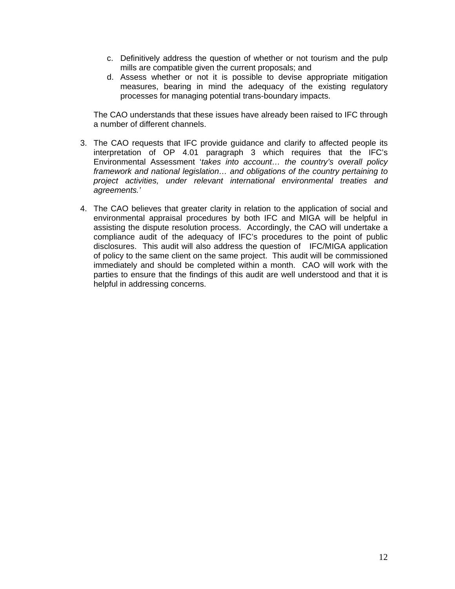- c. Definitively address the question of whether or not tourism and the pulp mills are compatible given the current proposals; and
- d. Assess whether or not it is possible to devise appropriate mitigation measures, bearing in mind the adequacy of the existing regulatory processes for managing potential trans-boundary impacts.

The CAO understands that these issues have already been raised to IFC through a number of different channels.

- 3. The CAO requests that IFC provide guidance and clarify to affected people its interpretation of OP 4.01 paragraph 3 which requires that the IFC's Environmental Assessment '*takes into account… the country's overall policy framework and national legislation… and obligations of the country pertaining to project activities, under relevant international environmental treaties and agreements.'*
- 4. The CAO believes that greater clarity in relation to the application of social and environmental appraisal procedures by both IFC and MIGA will be helpful in assisting the dispute resolution process. Accordingly, the CAO will undertake a compliance audit of the adequacy of IFC's procedures to the point of public disclosures. This audit will also address the question of IFC/MIGA application of policy to the same client on the same project. This audit will be commissioned immediately and should be completed within a month. CAO will work with the parties to ensure that the findings of this audit are well understood and that it is helpful in addressing concerns.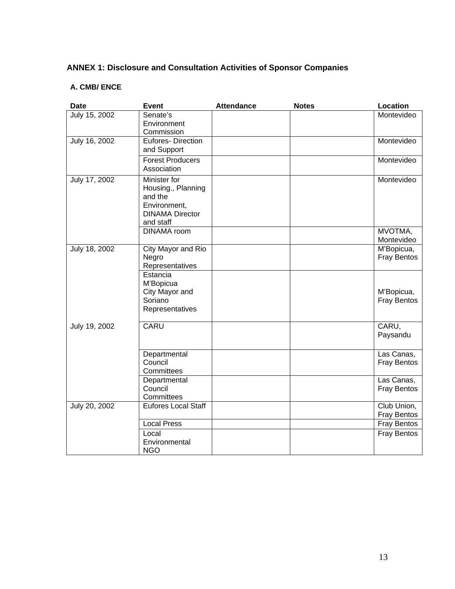# **ANNEX 1: Disclosure and Consultation Activities of Sponsor Companies**

## **A. CMB/ ENCE**

| <b>Date</b>   | <b>Event</b>            | <b>Attendance</b> | <b>Notes</b> | Location           |
|---------------|-------------------------|-------------------|--------------|--------------------|
| July 15, 2002 | Senate's                |                   |              | Montevideo         |
|               | Environment             |                   |              |                    |
|               | Commission              |                   |              |                    |
| July 16, 2002 | Eufores-Direction       |                   |              | Montevideo         |
|               | and Support             |                   |              |                    |
|               | <b>Forest Producers</b> |                   |              | Montevideo         |
|               | Association             |                   |              |                    |
| July 17, 2002 | Minister for            |                   |              | Montevideo         |
|               | Housing., Planning      |                   |              |                    |
|               | and the                 |                   |              |                    |
|               | Environment,            |                   |              |                    |
|               | <b>DINAMA Director</b>  |                   |              |                    |
|               | and staff               |                   |              |                    |
|               | <b>DINAMA</b> room      |                   |              | MVOTMA,            |
|               |                         |                   |              | Montevideo         |
| July 18, 2002 | City Mayor and Rio      |                   |              | M'Bopicua,         |
|               | Negro                   |                   |              | Fray Bentos        |
|               | Representatives         |                   |              |                    |
|               | Estancia                |                   |              |                    |
|               | M'Bopicua               |                   |              |                    |
|               | City Mayor and          |                   |              | M'Bopicua,         |
|               | Soriano                 |                   |              | <b>Fray Bentos</b> |
|               | Representatives         |                   |              |                    |
| July 19, 2002 | <b>CARU</b>             |                   |              | CARU,              |
|               |                         |                   |              | Paysandu           |
|               |                         |                   |              |                    |
|               | Departmental            |                   |              | Las Canas,         |
|               | Council                 |                   |              | <b>Fray Bentos</b> |
|               | Committees              |                   |              |                    |
|               | Departmental            |                   |              | Las Canas,         |
|               | Council                 |                   |              | <b>Fray Bentos</b> |
|               | Committees              |                   |              |                    |
| July 20, 2002 | Eufores Local Staff     |                   |              | Club Union,        |
|               |                         |                   |              | Fray Bentos        |
|               | <b>Local Press</b>      |                   |              | Fray Bentos        |
|               | Local                   |                   |              | Fray Bentos        |
|               | Environmental           |                   |              |                    |
|               | <b>NGO</b>              |                   |              |                    |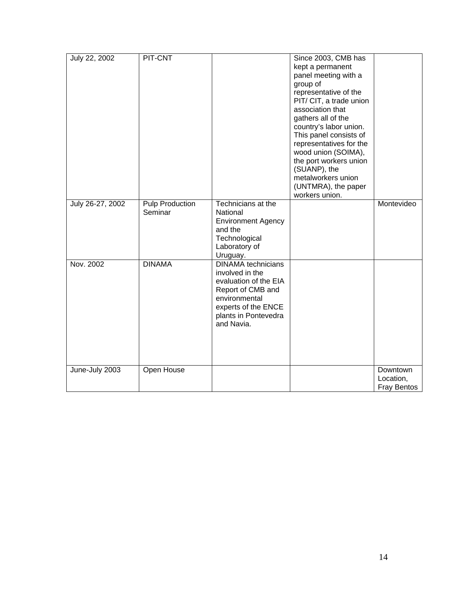| July 22, 2002    | PIT-CNT                           |                                                                                                                                                                          | Since 2003, CMB has<br>kept a permanent<br>panel meeting with a<br>group of<br>representative of the<br>PIT/ CIT, a trade union<br>association that<br>gathers all of the<br>country's labor union.<br>This panel consists of<br>representatives for the<br>wood union (SOIMA),<br>the port workers union<br>(SUANP), the<br>metalworkers union<br>(UNTMRA), the paper<br>workers union. |                                             |
|------------------|-----------------------------------|--------------------------------------------------------------------------------------------------------------------------------------------------------------------------|------------------------------------------------------------------------------------------------------------------------------------------------------------------------------------------------------------------------------------------------------------------------------------------------------------------------------------------------------------------------------------------|---------------------------------------------|
| July 26-27, 2002 | <b>Pulp Production</b><br>Seminar | Technicians at the<br>National<br><b>Environment Agency</b><br>and the<br>Technological<br>Laboratory of<br>Uruguay.                                                     |                                                                                                                                                                                                                                                                                                                                                                                          | Montevideo                                  |
| Nov. 2002        | <b>DINAMA</b>                     | <b>DINAMA</b> technicians<br>involved in the<br>evaluation of the EIA<br>Report of CMB and<br>environmental<br>experts of the ENCE<br>plants in Pontevedra<br>and Navia. |                                                                                                                                                                                                                                                                                                                                                                                          |                                             |
| June-July 2003   | Open House                        |                                                                                                                                                                          |                                                                                                                                                                                                                                                                                                                                                                                          | Downtown<br>Location,<br><b>Fray Bentos</b> |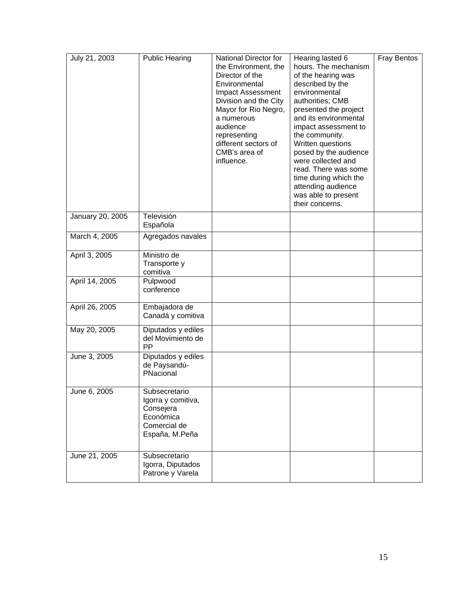| July 21, 2003    | <b>Public Hearing</b>                                                                           | National Director for<br>the Environment, the<br>Director of the<br>Environmental<br><b>Impact Assessment</b><br>Division and the City<br>Mayor for Rio Negro,<br>a numerous<br>audience<br>representing<br>different sectors of<br>CMB's area of<br>influence. | Hearing lasted 6<br>hours. The mechanism<br>of the hearing was<br>described by the<br>environmental<br>authorities; CMB<br>presented the project<br>and its environmental<br>impact assessment to<br>the community.<br>Written questions<br>posed by the audience<br>were collected and<br>read. There was some<br>time during which the<br>attending audience<br>was able to present<br>their concerns. | <b>Fray Bentos</b> |
|------------------|-------------------------------------------------------------------------------------------------|-----------------------------------------------------------------------------------------------------------------------------------------------------------------------------------------------------------------------------------------------------------------|----------------------------------------------------------------------------------------------------------------------------------------------------------------------------------------------------------------------------------------------------------------------------------------------------------------------------------------------------------------------------------------------------------|--------------------|
| January 20, 2005 | Televisión<br>Española                                                                          |                                                                                                                                                                                                                                                                 |                                                                                                                                                                                                                                                                                                                                                                                                          |                    |
| March 4, 2005    | Agregados navales                                                                               |                                                                                                                                                                                                                                                                 |                                                                                                                                                                                                                                                                                                                                                                                                          |                    |
| April 3, 2005    | Ministro de<br>Transporte y<br>comitiva                                                         |                                                                                                                                                                                                                                                                 |                                                                                                                                                                                                                                                                                                                                                                                                          |                    |
| April 14, 2005   | Pulpwood<br>conference                                                                          |                                                                                                                                                                                                                                                                 |                                                                                                                                                                                                                                                                                                                                                                                                          |                    |
| April 26, 2005   | Embajadora de<br>Canadá y comitiva                                                              |                                                                                                                                                                                                                                                                 |                                                                                                                                                                                                                                                                                                                                                                                                          |                    |
| May 20, 2005     | Diputados y ediles<br>del Movimiento de<br>PP                                                   |                                                                                                                                                                                                                                                                 |                                                                                                                                                                                                                                                                                                                                                                                                          |                    |
| June 3, 2005     | Diputados y ediles<br>de Paysandú-<br>PNacional                                                 |                                                                                                                                                                                                                                                                 |                                                                                                                                                                                                                                                                                                                                                                                                          |                    |
| June 6, 2005     | Subsecretario<br>Igorra y comitiva,<br>Consejera<br>Económica<br>Comercial de<br>España, M.Peña |                                                                                                                                                                                                                                                                 |                                                                                                                                                                                                                                                                                                                                                                                                          |                    |
| June 21, 2005    | Subsecretario<br>Igorra, Diputados<br>Patrone y Varela                                          |                                                                                                                                                                                                                                                                 |                                                                                                                                                                                                                                                                                                                                                                                                          |                    |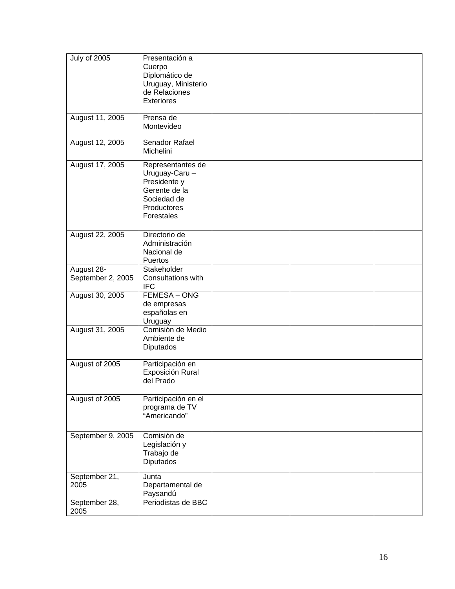| <b>July of 2005</b>             | Presentación a<br>Cuerpo<br>Diplomático de<br>Uruguay, Ministerio<br>de Relaciones<br><b>Exteriores</b>          |  |  |
|---------------------------------|------------------------------------------------------------------------------------------------------------------|--|--|
| August 11, 2005                 | Prensa de<br>Montevideo                                                                                          |  |  |
| August 12, 2005                 | Senador Rafael<br>Michelini                                                                                      |  |  |
| August 17, 2005                 | Representantes de<br>Uruguay-Caru -<br>Presidente y<br>Gerente de la<br>Sociedad de<br>Productores<br>Forestales |  |  |
| August 22, 2005                 | Directorio de<br>Administración<br>Nacional de<br>Puertos                                                        |  |  |
| August 28-<br>September 2, 2005 | Stakeholder<br>Consultations with<br><b>IFC</b>                                                                  |  |  |
| August 30, 2005                 | FEMESA - ONG<br>de empresas<br>españolas en<br>Uruguay                                                           |  |  |
| August 31, 2005                 | Comisión de Medio<br>Ambiente de<br>Diputados                                                                    |  |  |
| August of 2005                  | Participación en<br>Exposición Rural<br>del Prado                                                                |  |  |
| August of 2005                  | Participación en el<br>programa de TV<br>"Americando"                                                            |  |  |
| September 9, 2005               | Comisión de<br>Legislación y<br>Trabajo de<br>Diputados                                                          |  |  |
| September 21,<br>2005           | Junta<br>Departamental de<br>Paysandú                                                                            |  |  |
| September 28,<br>2005           | Periodistas de BBC                                                                                               |  |  |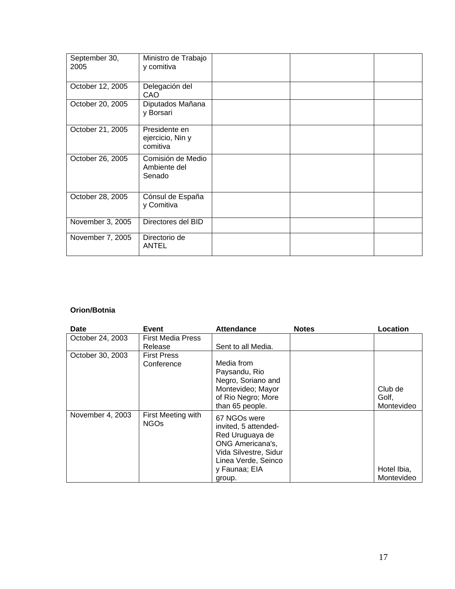| September 30,<br>2005 | Ministro de Trabajo<br>y comitiva             |  |  |
|-----------------------|-----------------------------------------------|--|--|
| October 12, 2005      | Delegación del<br>CAO                         |  |  |
| October 20, 2005      | Diputados Mañana<br>y Borsari                 |  |  |
| October 21, 2005      | Presidente en<br>ejercicio, Nin y<br>comitiva |  |  |
| October 26, 2005      | Comisión de Medio<br>Ambiente del<br>Senado   |  |  |
| October 28, 2005      | Cónsul de España<br>y Comitiva                |  |  |
| November 3, 2005      | Directores del BID                            |  |  |
| November 7, 2005      | Directorio de<br><b>ANTEL</b>                 |  |  |

## **Orion/Botnia**

| Date             | Event                               | <b>Attendance</b>                                                                                                                                             | <b>Notes</b> | Location                       |
|------------------|-------------------------------------|---------------------------------------------------------------------------------------------------------------------------------------------------------------|--------------|--------------------------------|
| October 24, 2003 | <b>First Media Press</b><br>Release | Sent to all Media.                                                                                                                                            |              |                                |
| October 30, 2003 | <b>First Press</b><br>Conference    | Media from<br>Paysandu, Rio<br>Negro, Soriano and<br>Montevideo; Mayor<br>of Rio Negro; More<br>than 65 people.                                               |              | Club de<br>Golf,<br>Montevideo |
| November 4, 2003 | First Meeting with<br><b>NGOs</b>   | 67 NGOs were<br>invited, 5 attended-<br>Red Uruguaya de<br><b>ONG Americana's,</b><br>Vida Silvestre, Sidur<br>Linea Verde, Seinco<br>y Faunaa; EIA<br>group. |              | Hotel Ibia,<br>Montevideo      |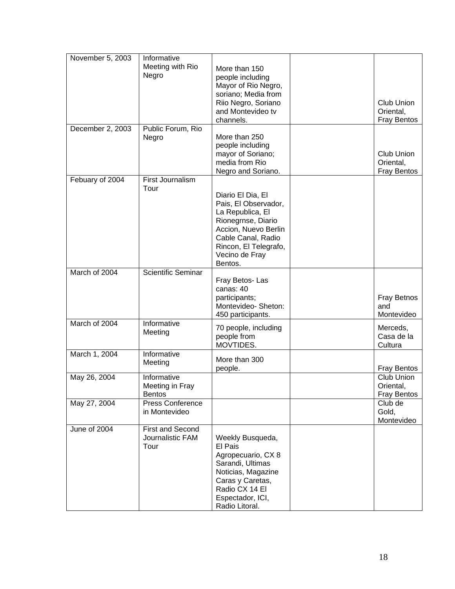| November 5, 2003 | Informative                                 |                                           |                    |
|------------------|---------------------------------------------|-------------------------------------------|--------------------|
|                  | Meeting with Rio                            | More than 150                             |                    |
|                  | Negro                                       | people including                          |                    |
|                  |                                             | Mayor of Rio Negro,                       |                    |
|                  |                                             | soriano; Media from                       |                    |
|                  |                                             | Riio Negro, Soriano                       | <b>Club Union</b>  |
|                  |                                             | and Montevideo tv                         | Oriental,          |
|                  |                                             | channels.                                 | <b>Fray Bentos</b> |
| December 2, 2003 | Public Forum, Rio                           |                                           |                    |
|                  | Negro                                       | More than 250                             |                    |
|                  |                                             | people including<br>mayor of Soriano;     | Club Union         |
|                  |                                             | media from Rio                            | Oriental,          |
|                  |                                             | Negro and Soriano.                        | <b>Fray Bentos</b> |
| Febuary of 2004  | First Journalism                            |                                           |                    |
|                  | Tour                                        |                                           |                    |
|                  |                                             | Diario El Dia, El<br>Pais, El Observador, |                    |
|                  |                                             | La Republica, El                          |                    |
|                  |                                             | Rionegrnse, Diario                        |                    |
|                  |                                             | Accion, Nuevo Berlin                      |                    |
|                  |                                             | Cable Canal, Radio                        |                    |
|                  |                                             | Rincon, El Telegrafo,                     |                    |
|                  |                                             | Vecino de Fray                            |                    |
|                  |                                             | Bentos.                                   |                    |
| March of 2004    | <b>Scientific Seminar</b>                   |                                           |                    |
|                  |                                             | Fray Betos-Las<br>canas: 40               |                    |
|                  |                                             | participants;                             | <b>Fray Betnos</b> |
|                  |                                             | Montevideo-Sheton:                        | and                |
|                  |                                             | 450 participants.                         | Montevideo         |
| March of 2004    | Informative                                 | 70 people, including                      | Merceds,           |
|                  | Meeting                                     | people from                               | Casa de la         |
|                  |                                             | MOVTIDES.                                 | Cultura            |
| March 1, 2004    | Informative                                 |                                           |                    |
|                  | Meeting                                     | More than 300<br>people.                  | <b>Fray Bentos</b> |
| May 26, 2004     | Informative                                 |                                           | Club Union         |
|                  | Meeting in Fray                             |                                           | Oriental,          |
|                  | <b>Bentos</b>                               |                                           | <b>Fray Bentos</b> |
| May 27, 2004     | Press Conference                            |                                           | Club de            |
|                  | in Montevideo                               |                                           | Gold,              |
|                  |                                             |                                           | Montevideo         |
| June of 2004     | <b>First and Second</b><br>Journalistic FAM | Weekly Busqueda,                          |                    |
|                  | Tour                                        | El Pais                                   |                    |
|                  |                                             | Agropecuario, CX 8                        |                    |
|                  |                                             | Sarandi, Ultimas                          |                    |
|                  |                                             | Noticias, Magazine                        |                    |
|                  |                                             | Caras y Caretas,                          |                    |
|                  |                                             | Radio CX 14 El                            |                    |
|                  |                                             | Espectador, ICI,                          |                    |
|                  |                                             | Radio Litoral.                            |                    |